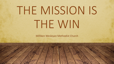# THE MISSION IS THE WIN

Milliken Wesleyan Methodist Church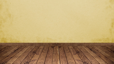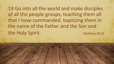19 Go into all the world and make disciples of all the people groups, teaching them all that I have commanded, baptizing them in the name of the Father and the Son and the Holy Spirit. **The Holy Spirit.** The Matthew 28:19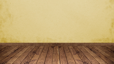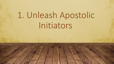## 1. Unleash Apostolic Initiators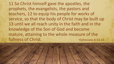11 So Christ himself gave the apostles, the prophets, the evangelists, the pastors and teachers, 12 to equip his people for works of service, so that the body of Christ may be built up 13 until we all reach unity in the faith and in the knowledge of the Son of God and become mature, attaining to the whole measure of the fullness of Christ. -Ephesians 4:11-13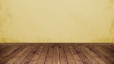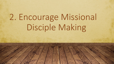## 2. Encourage Missional Disciple Making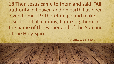18 Then Jesus came to them and said, "All authority in heaven and on earth has been given to me. 19 Therefore go and make disciples of all nations, baptizing them in the name of the Father and of the Son and of the Holy Spirit.

-Matthew 28: 18-19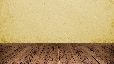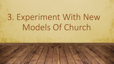#### 3. Experiment With New Models Of Church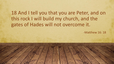18 And I tell you that you are Peter, and on this rock I will build my church, and the gates of Hades will not overcome it.

-Matthew 16: 18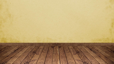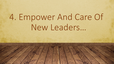#### 4. Empower And Care Of New Leaders...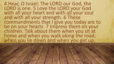4 Hear, O Israel: The LORD our God, the LORD is one. 5 Love the LORD your God with all your heart and with all your soul and with all your strength. 6 These commandments that I give you today are to be on your hearts. 7 Impress them on your children. Talk about them when you sit at home and when you walk along the road, when you lie down and when you get up.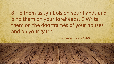8 Tie them as symbols on your hands and bind them on your foreheads. 9 Write them on the doorframes of your houses and on your gates.

-Deuteronomy 6:4-9

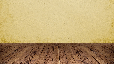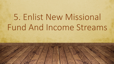### 5. Enlist New Missional Fund And Income Streams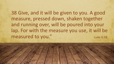38 Give, and it will be given to you. A good measure, pressed down, shaken together and running over, will be poured into your lap. For with the measure you use, it will be measured to you."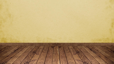